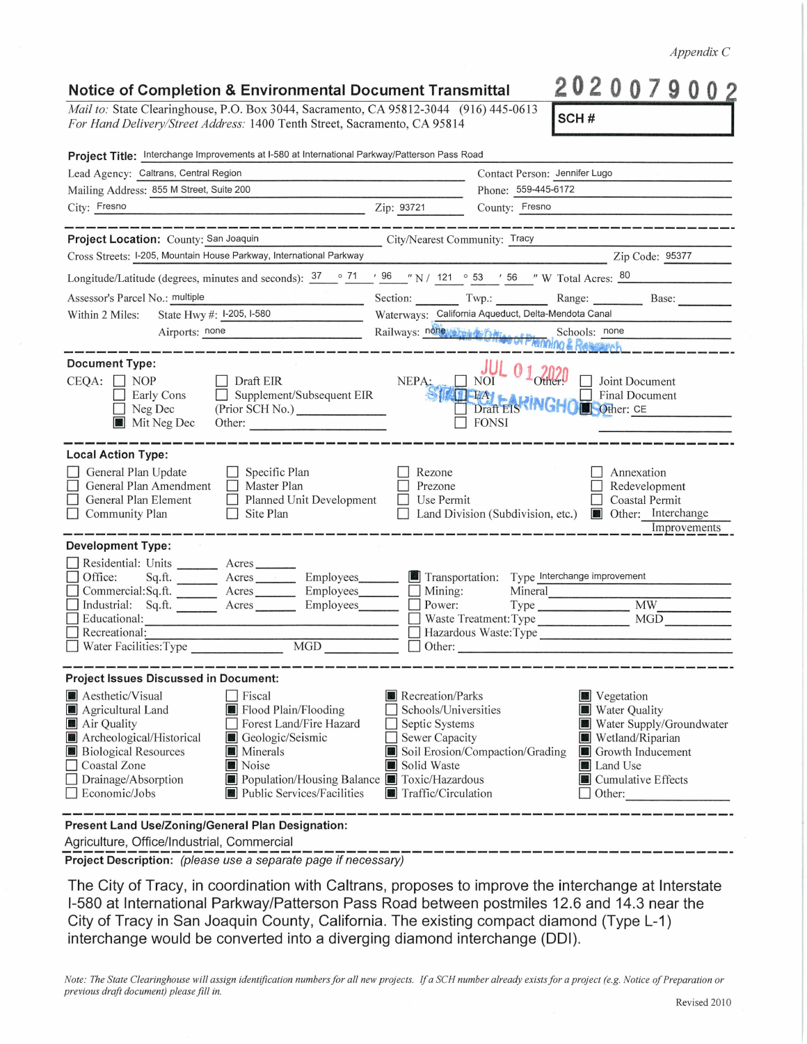*Note: The State Clearinghouse will assign identification numbers for all new projects. If a SCH number already exists for a project (e.g. Notice of Preparation or previous draft document) please fill in.*  Revised 2010

interchange would be converted into a diverging diamond interchange (DOI).

The City of Tracy, in coordination with Caltrans, proposes to improve the interchange at Interstate 1-580 at International Parkway/Patterson Pass Road between postmiles 12.6 and 14.3 near the City of Tracy in San Joaquin County, California. The existing compact diamond (Type L-1)

**Present Land Use/Zoning/General Plan Designation:** 

-------------------------------------------------------------- **Project Description:** (please use a separate page if necessary)

Agriculture, Office/Industrial, Commercial

| Lead Agency: Caltrans, Central Region                                                                                                                                         |                                              | Contact Person: Jennifer Lugo                       |                                                          |  |
|-------------------------------------------------------------------------------------------------------------------------------------------------------------------------------|----------------------------------------------|-----------------------------------------------------|----------------------------------------------------------|--|
| Mailing Address: 855 M Street, Suite 200                                                                                                                                      |                                              |                                                     | Phone: 559-445-6172                                      |  |
| City: Fresno<br><u>2ip: 93721</u>                                                                                                                                             |                                              |                                                     | County: Fresno                                           |  |
| Project Location: County: San Joaquin                                                                                                                                         | City/Nearest Community: Tracy                |                                                     |                                                          |  |
| Cross Streets: I-205, Mountain House Parkway, International Parkway                                                                                                           |                                              |                                                     | Zip Code: 95377                                          |  |
| Longitude/Latitude (degrees, minutes and seconds): $\frac{37}{10}$ $\frac{71}{10}$ $\frac{96}{10}$ N / 121 $\degree$ 53 $\degree$ 56 $\degree$ W Total Acres: $\frac{80}{10}$ |                                              |                                                     |                                                          |  |
| Assessor's Parcel No.: multiple                                                                                                                                               |                                              |                                                     | Section: Twp.: Twp.: Range: Base:                        |  |
| State Hwy #: I-205, I-580<br>Within 2 Miles:                                                                                                                                  |                                              | Waterways: California Aqueduct, Delta-Mendota Canal |                                                          |  |
| Airports: none                                                                                                                                                                |                                              |                                                     | Railways: none Schools: none Schools: none               |  |
| <b>Document Type:</b>                                                                                                                                                         |                                              |                                                     |                                                          |  |
| $CEQA: \Box NP$<br>$\Box$ Draft EIR                                                                                                                                           |                                              |                                                     | NEPA: NOT 0 1 2020 Joint Document                        |  |
| Early Cons<br>$\Box$ Neg Dec                                                                                                                                                  | Supplement/Subsequent EIR<br>(Prior SCH No.) |                                                     |                                                          |  |
| Mit Neg Dec                                                                                                                                                                   | Other:                                       | $\Box$ FONSI                                        |                                                          |  |
|                                                                                                                                                                               |                                              |                                                     |                                                          |  |
| <b>Local Action Type:</b>                                                                                                                                                     |                                              |                                                     |                                                          |  |
| General Plan Update<br>$\Box$ Specific Plan<br>General Plan Amendment   Master Plan                                                                                           | Prezone                                      | Rezone                                              | Annexation<br>$\Box$ Redevelopment                       |  |
| General Plan Element 1 Planned Unit Development                                                                                                                               |                                              | Use Permit                                          | Coastal Permit                                           |  |
| $\Box$ Site Plan<br>$\Box$ Community Plan                                                                                                                                     |                                              |                                                     | □ Land Division (Subdivision, etc.) ■ Other: Interchange |  |
|                                                                                                                                                                               |                                              |                                                     | Improvements                                             |  |
| <b>Development Type:</b>                                                                                                                                                      |                                              |                                                     |                                                          |  |
| Residential: Units _________ Acres _______                                                                                                                                    |                                              |                                                     |                                                          |  |
| Office:<br>Commercial:Sq.ft. ________ Acres ________ Employees _______ __ Mining:                                                                                             |                                              | Mineral                                             |                                                          |  |
| Industrial: Sq.ft. <u>Acres</u> Acres Employees <b>Department</b> Power:                                                                                                      |                                              |                                                     |                                                          |  |
| Educational:                                                                                                                                                                  |                                              |                                                     | $\Box$ Waste Treatment: Type $\Box$ MGD $\Box$           |  |
| Recreational:                                                                                                                                                                 |                                              |                                                     | Hazardous Waste:Type                                     |  |
|                                                                                                                                                                               |                                              |                                                     |                                                          |  |
| <b>Project Issues Discussed in Document:</b>                                                                                                                                  |                                              |                                                     |                                                          |  |
| Aesthetic/Visual<br>$\Box$ Fiscal                                                                                                                                             |                                              | Recreation/Parks                                    | Vegetation                                               |  |
| Agricultural Land                                                                                                                                                             | Flood Plain/Flooding                         | Schools/Universities                                | Water Quality                                            |  |
| Air Quality                                                                                                                                                                   | Forest Land/Fire Hazard                      | Septic Systems                                      | Water Supply/Groundwater                                 |  |
| Archeological/Historical                                                                                                                                                      | Geologic/Seismic                             | Sewer Capacity<br>Soil Erosion/Compaction/Grading   | Wetland/Riparian                                         |  |
| <b>Biological Resources</b><br><b>Minerals</b><br>Noise<br>Coastal Zone                                                                                                       | Solid Waste                                  |                                                     | Growth Inducement<br>Land Use                            |  |
| $\Box$ Drainage/Absorption                                                                                                                                                    | Population/Housing Balance Toxic/Hazardous   |                                                     | <b>Cumulative Effects</b>                                |  |
| Economic/Jobs                                                                                                                                                                 | Public Services/Facilities                   | Traffic/Circulation                                 | Other:                                                   |  |

## **Notice of Completion & Environmental Document Transmittal**

*Mail to: State Clearinghouse, P.O. Box 3044, Sacramento, CA 95812-3044 (916) 445-0613 For Hand Delivery/Street Address:* 1400 Tenth Street, Sacramento, CA 95814

*Appendix* C

**2020079002 !scH** # I